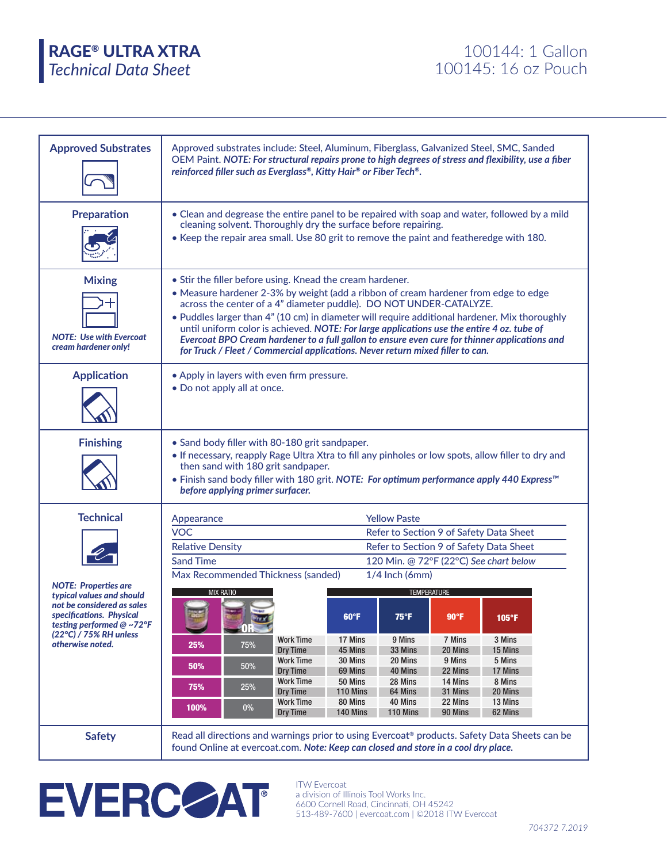*Technical Data Sheet* RAGE® ULTRA XTRA 100144: 1 Gallon

| <b>Approved Substrates</b>                                                                                                                                                                                                                                                                                                                                                                                                                                                                                                                                                                                                                                                                                                                                                             | Approved substrates include: Steel, Aluminum, Fiberglass, Galvanized Steel, SMC, Sanded<br>OEM Paint. NOTE: For structural repairs prone to high degrees of stress and flexibility, use a fiber<br>reinforced filler such as Everglass®, Kitty Hair® or Fiber Tech®. |  |  |  |  |  |  |  |
|----------------------------------------------------------------------------------------------------------------------------------------------------------------------------------------------------------------------------------------------------------------------------------------------------------------------------------------------------------------------------------------------------------------------------------------------------------------------------------------------------------------------------------------------------------------------------------------------------------------------------------------------------------------------------------------------------------------------------------------------------------------------------------------|----------------------------------------------------------------------------------------------------------------------------------------------------------------------------------------------------------------------------------------------------------------------|--|--|--|--|--|--|--|
| <b>Preparation</b>                                                                                                                                                                                                                                                                                                                                                                                                                                                                                                                                                                                                                                                                                                                                                                     | • Clean and degrease the entire panel to be repaired with soap and water, followed by a mild<br>cleaning solvent. Thoroughly dry the surface before repairing.<br>. Keep the repair area small. Use 80 grit to remove the paint and featheredge with 180.            |  |  |  |  |  |  |  |
| <b>Mixing</b><br>• Stir the filler before using. Knead the cream hardener.<br>• Measure hardener 2-3% by weight (add a ribbon of cream hardener from edge to edge<br>across the center of a 4" diameter puddle). DO NOT UNDER-CATALYZE.<br>. Puddles larger than 4" (10 cm) in diameter will require additional hardener. Mix thoroughly<br>until uniform color is achieved. NOTE: For large applications use the entire 4 oz. tube of<br><b>NOTE: Use with Evercoat</b><br>Evercoat BPO Cream hardener to a full gallon to ensure even cure for thinner applications and<br>cream hardener only!<br>for Truck / Fleet / Commercial applications. Never return mixed filler to can.<br><b>Application</b><br>• Apply in layers with even firm pressure.<br>• Do not apply all at once. |                                                                                                                                                                                                                                                                      |  |  |  |  |  |  |  |
|                                                                                                                                                                                                                                                                                                                                                                                                                                                                                                                                                                                                                                                                                                                                                                                        |                                                                                                                                                                                                                                                                      |  |  |  |  |  |  |  |
| <b>Technical</b>                                                                                                                                                                                                                                                                                                                                                                                                                                                                                                                                                                                                                                                                                                                                                                       | <b>Yellow Paste</b><br>Appearance                                                                                                                                                                                                                                    |  |  |  |  |  |  |  |
|                                                                                                                                                                                                                                                                                                                                                                                                                                                                                                                                                                                                                                                                                                                                                                                        | <b>VOC</b><br>Refer to Section 9 of Safety Data Sheet                                                                                                                                                                                                                |  |  |  |  |  |  |  |
|                                                                                                                                                                                                                                                                                                                                                                                                                                                                                                                                                                                                                                                                                                                                                                                        | <b>Relative Density</b><br>Refer to Section 9 of Safety Data Sheet                                                                                                                                                                                                   |  |  |  |  |  |  |  |
|                                                                                                                                                                                                                                                                                                                                                                                                                                                                                                                                                                                                                                                                                                                                                                                        | <b>Sand Time</b><br>120 Min. @ 72°F (22°C) See chart below                                                                                                                                                                                                           |  |  |  |  |  |  |  |
| <b>NOTE: Properties are</b>                                                                                                                                                                                                                                                                                                                                                                                                                                                                                                                                                                                                                                                                                                                                                            | Max Recommended Thickness (sanded)<br>1/4 Inch (6mm)                                                                                                                                                                                                                 |  |  |  |  |  |  |  |
| typical values and should                                                                                                                                                                                                                                                                                                                                                                                                                                                                                                                                                                                                                                                                                                                                                              | <b>TEMPERATURE</b><br><b>MIX RATIO</b>                                                                                                                                                                                                                               |  |  |  |  |  |  |  |
| not be considered as sales<br>specifications. Physical<br>testing performed @ ~72°F                                                                                                                                                                                                                                                                                                                                                                                                                                                                                                                                                                                                                                                                                                    | 60°F<br>$75^{\circ}$ F<br>90°F<br>105°F                                                                                                                                                                                                                              |  |  |  |  |  |  |  |
| (22°C) / 75% RH unless                                                                                                                                                                                                                                                                                                                                                                                                                                                                                                                                                                                                                                                                                                                                                                 | $\blacksquare$ OR $\blacksquare$<br>17 Mins<br>7 Mins<br>3 Mins<br><b>Work Time</b><br>9 Mins                                                                                                                                                                        |  |  |  |  |  |  |  |
| otherwise noted.                                                                                                                                                                                                                                                                                                                                                                                                                                                                                                                                                                                                                                                                                                                                                                       | 25%<br>75%<br>Dry Time<br>45 Mins<br>20 Mins<br>33 Mins<br>15 Mins                                                                                                                                                                                                   |  |  |  |  |  |  |  |
|                                                                                                                                                                                                                                                                                                                                                                                                                                                                                                                                                                                                                                                                                                                                                                                        | <b>Work Time</b><br>9 Mins<br>30 Mins<br>20 Mins<br>5 Mins<br>50%<br>50%<br>Dry Time<br>69 Mins<br>22 Mins<br>17 Mins<br>40 Mins                                                                                                                                     |  |  |  |  |  |  |  |
|                                                                                                                                                                                                                                                                                                                                                                                                                                                                                                                                                                                                                                                                                                                                                                                        | <b>Work Time</b><br>50 Mins<br>28 Mins<br>14 Mins<br>8 Mins<br>75%<br>25%<br>Dry Time<br>20 Mins<br>110 Mins<br>64 Mins<br>31 Mins                                                                                                                                   |  |  |  |  |  |  |  |
|                                                                                                                                                                                                                                                                                                                                                                                                                                                                                                                                                                                                                                                                                                                                                                                        | <b>Work Time</b><br>80 Mins<br>40 Mins<br>22 Mins<br>13 Mins<br>100%<br>$0\%$                                                                                                                                                                                        |  |  |  |  |  |  |  |
|                                                                                                                                                                                                                                                                                                                                                                                                                                                                                                                                                                                                                                                                                                                                                                                        | Dry Time<br>140 Mins<br>110 Mins<br>90 Mins<br>62 Mins                                                                                                                                                                                                               |  |  |  |  |  |  |  |
| <b>Safety</b>                                                                                                                                                                                                                                                                                                                                                                                                                                                                                                                                                                                                                                                                                                                                                                          | Read all directions and warnings prior to using Evercoat® products. Safety Data Sheets can be<br>found Online at evercoat.com. Note: Keep can closed and store in a cool dry place.                                                                                  |  |  |  |  |  |  |  |

ITW Evercoat a division of Illinois Tool Works Inc. 6600 Cornell Road, Cincinnati, OH 45242 513-489-7600 | evercoat.com | ©2018 ITW Evercoat